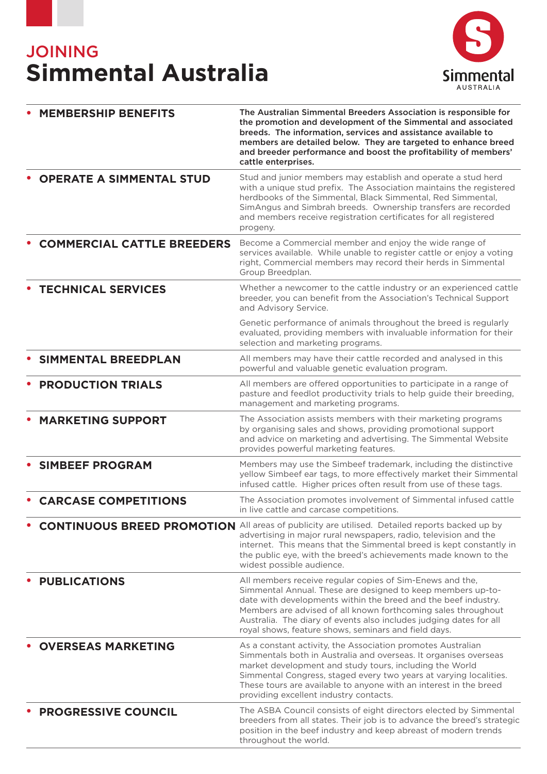# **JOINING Simmental Australia**



| <b>MEMBERSHIP BENEFITS</b>        | The Australian Simmental Breeders Association is responsible for<br>the promotion and development of the Simmental and associated<br>breeds. The information, services and assistance available to<br>members are detailed below. They are targeted to enhance breed<br>and breeder performance and boost the profitability of members'<br>cattle enterprises.                           |
|-----------------------------------|------------------------------------------------------------------------------------------------------------------------------------------------------------------------------------------------------------------------------------------------------------------------------------------------------------------------------------------------------------------------------------------|
| <b>OPERATE A SIMMENTAL STUD</b>   | Stud and junior members may establish and operate a stud herd<br>with a unique stud prefix. The Association maintains the registered<br>herdbooks of the Simmental, Black Simmental, Red Simmental,<br>SimAngus and Simbrah breeds. Ownership transfers are recorded<br>and members receive registration certificates for all registered<br>progeny.                                     |
| <b>COMMERCIAL CATTLE BREEDERS</b> | Become a Commercial member and enjoy the wide range of<br>services available. While unable to register cattle or enjoy a voting<br>right, Commercial members may record their herds in Simmental<br>Group Breedplan.                                                                                                                                                                     |
| <b>TECHNICAL SERVICES</b>         | Whether a newcomer to the cattle industry or an experienced cattle<br>breeder, you can benefit from the Association's Technical Support<br>and Advisory Service.                                                                                                                                                                                                                         |
|                                   | Genetic performance of animals throughout the breed is regularly<br>evaluated, providing members with invaluable information for their<br>selection and marketing programs.                                                                                                                                                                                                              |
| <b>SIMMENTAL BREEDPLAN</b>        | All members may have their cattle recorded and analysed in this<br>powerful and valuable genetic evaluation program.                                                                                                                                                                                                                                                                     |
| <b>PRODUCTION TRIALS</b>          | All members are offered opportunities to participate in a range of<br>pasture and feedlot productivity trials to help guide their breeding,<br>management and marketing programs.                                                                                                                                                                                                        |
| <b>MARKETING SUPPORT</b>          | The Association assists members with their marketing programs<br>by organising sales and shows, providing promotional support<br>and advice on marketing and advertising. The Simmental Website<br>provides powerful marketing features.                                                                                                                                                 |
| <b>SIMBEEF PROGRAM</b>            | Members may use the Simbeef trademark, including the distinctive<br>yellow Simbeef ear tags, to more effectively market their Simmental<br>infused cattle. Higher prices often result from use of these tags.                                                                                                                                                                            |
| <b>CARCASE COMPETITIONS</b>       | The Association promotes involvement of Simmental infused cattle<br>in live cattle and carcase competitions.                                                                                                                                                                                                                                                                             |
|                                   | <b>CONTINUOUS BREED PROMOTION</b> All areas of publicity are utilised. Detailed reports backed up by<br>advertising in major rural newspapers, radio, television and the<br>internet. This means that the Simmental breed is kept constantly in<br>the public eye, with the breed's achievements made known to the<br>widest possible audience.                                          |
| <b>PUBLICATIONS</b>               | All members receive regular copies of Sim-Enews and the,<br>Simmental Annual. These are designed to keep members up-to-<br>date with developments within the breed and the beef industry.<br>Members are advised of all known forthcoming sales throughout<br>Australia. The diary of events also includes judging dates for all<br>royal shows, feature shows, seminars and field days. |
| <b>OVERSEAS MARKETING</b>         | As a constant activity, the Association promotes Australian<br>Simmentals both in Australia and overseas. It organises overseas<br>market development and study tours, including the World<br>Simmental Congress, staged every two years at varying localities.<br>These tours are available to anyone with an interest in the breed<br>providing excellent industry contacts.           |
| <b>PROGRESSIVE COUNCIL</b>        | The ASBA Council consists of eight directors elected by Simmental<br>breeders from all states. Their job is to advance the breed's strategic<br>position in the beef industry and keep abreast of modern trends<br>throughout the world.                                                                                                                                                 |